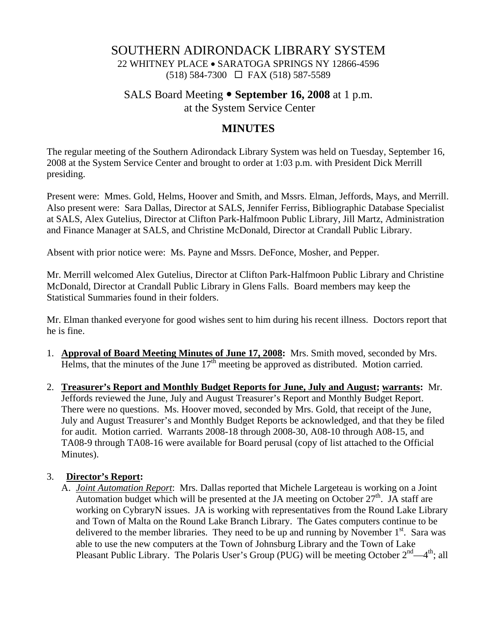### SOUTHERN ADIRONDACK LIBRARY SYSTEM 22 WHITNEY PLACE • SARATOGA SPRINGS NY 12866-4596 (518) 584-7300 FAX (518) 587-5589

### SALS Board Meeting • September 16, 2008 at 1 p.m. at the System Service Center

# **MINUTES**

The regular meeting of the Southern Adirondack Library System was held on Tuesday, September 16, 2008 at the System Service Center and brought to order at 1:03 p.m. with President Dick Merrill presiding.

Present were: Mmes. Gold, Helms, Hoover and Smith, and Mssrs. Elman, Jeffords, Mays, and Merrill. Also present were: Sara Dallas, Director at SALS, Jennifer Ferriss, Bibliographic Database Specialist at SALS, Alex Gutelius, Director at Clifton Park-Halfmoon Public Library, Jill Martz, Administration and Finance Manager at SALS, and Christine McDonald, Director at Crandall Public Library.

Absent with prior notice were: Ms. Payne and Mssrs. DeFonce, Mosher, and Pepper.

Mr. Merrill welcomed Alex Gutelius, Director at Clifton Park-Halfmoon Public Library and Christine McDonald, Director at Crandall Public Library in Glens Falls. Board members may keep the Statistical Summaries found in their folders.

Mr. Elman thanked everyone for good wishes sent to him during his recent illness. Doctors report that he is fine.

- 1. **Approval of Board Meeting Minutes of June 17, 2008:** Mrs. Smith moved, seconded by Mrs. Helms, that the minutes of the June  $17<sup>th</sup>$  meeting be approved as distributed. Motion carried.
- 2. **Treasurer's Report and Monthly Budget Reports for June, July and August; warrants:** Mr. Jeffords reviewed the June, July and August Treasurer's Report and Monthly Budget Report. There were no questions. Ms. Hoover moved, seconded by Mrs. Gold, that receipt of the June, July and August Treasurer's and Monthly Budget Reports be acknowledged, and that they be filed for audit. Motion carried. Warrants 2008-18 through 2008-30, A08-10 through A08-15, and TA08-9 through TA08-16 were available for Board perusal (copy of list attached to the Official Minutes).

#### 3. **Director's Report:**

A. *Joint Automation Report*: Mrs. Dallas reported that Michele Largeteau is working on a Joint Automation budget which will be presented at the JA meeting on October  $27<sup>th</sup>$ . JA staff are working on CybraryN issues. JA is working with representatives from the Round Lake Library and Town of Malta on the Round Lake Branch Library. The Gates computers continue to be delivered to the member libraries. They need to be up and running by November  $1<sup>st</sup>$ . Sara was able to use the new computers at the Town of Johnsburg Library and the Town of Lake Pleasant Public Library. The Polaris User's Group (PUG) will be meeting October  $2^{nd} - 4^{th}$ ; all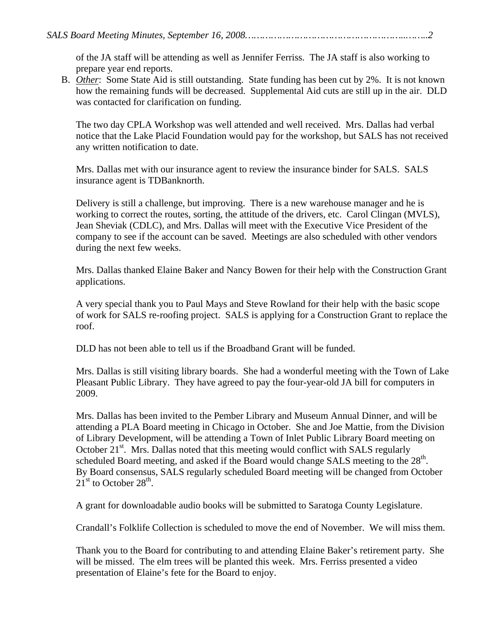of the JA staff will be attending as well as Jennifer Ferriss. The JA staff is also working to prepare year end reports.

B. *Other*: Some State Aid is still outstanding. State funding has been cut by 2%. It is not known how the remaining funds will be decreased. Supplemental Aid cuts are still up in the air. DLD was contacted for clarification on funding.

The two day CPLA Workshop was well attended and well received. Mrs. Dallas had verbal notice that the Lake Placid Foundation would pay for the workshop, but SALS has not received any written notification to date.

Mrs. Dallas met with our insurance agent to review the insurance binder for SALS. SALS insurance agent is TDBanknorth.

Delivery is still a challenge, but improving. There is a new warehouse manager and he is working to correct the routes, sorting, the attitude of the drivers, etc. Carol Clingan (MVLS), Jean Sheviak (CDLC), and Mrs. Dallas will meet with the Executive Vice President of the company to see if the account can be saved. Meetings are also scheduled with other vendors during the next few weeks.

Mrs. Dallas thanked Elaine Baker and Nancy Bowen for their help with the Construction Grant applications.

A very special thank you to Paul Mays and Steve Rowland for their help with the basic scope of work for SALS re-roofing project. SALS is applying for a Construction Grant to replace the roof.

DLD has not been able to tell us if the Broadband Grant will be funded.

Mrs. Dallas is still visiting library boards. She had a wonderful meeting with the Town of Lake Pleasant Public Library. They have agreed to pay the four-year-old JA bill for computers in 2009.

Mrs. Dallas has been invited to the Pember Library and Museum Annual Dinner, and will be attending a PLA Board meeting in Chicago in October. She and Joe Mattie, from the Division of Library Development, will be attending a Town of Inlet Public Library Board meeting on October  $21<sup>st</sup>$ . Mrs. Dallas noted that this meeting would conflict with SALS regularly scheduled Board meeting, and asked if the Board would change SALS meeting to the 28<sup>th</sup>. By Board consensus, SALS regularly scheduled Board meeting will be changed from October  $21<sup>st</sup>$  to October 28<sup>th</sup>.

A grant for downloadable audio books will be submitted to Saratoga County Legislature.

Crandall's Folklife Collection is scheduled to move the end of November. We will miss them.

Thank you to the Board for contributing to and attending Elaine Baker's retirement party. She will be missed. The elm trees will be planted this week. Mrs. Ferriss presented a video presentation of Elaine's fete for the Board to enjoy.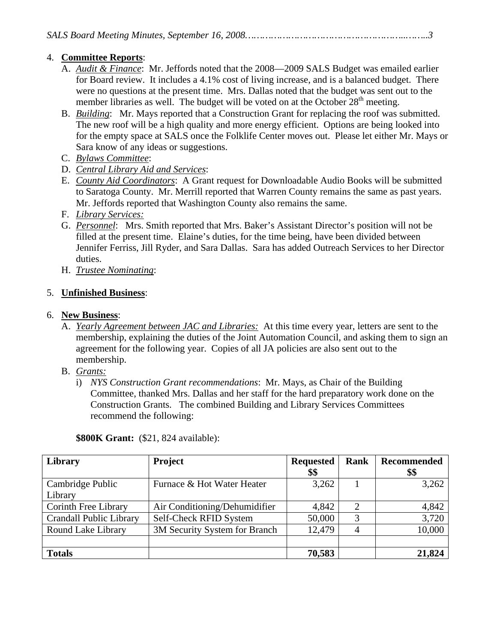### 4. **Committee Reports**:

- A. *Audit & Finance*: Mr. Jeffords noted that the 2008—2009 SALS Budget was emailed earlier for Board review. It includes a 4.1% cost of living increase, and is a balanced budget. There were no questions at the present time. Mrs. Dallas noted that the budget was sent out to the member libraries as well. The budget will be voted on at the October  $28<sup>th</sup>$  meeting.
- B. *Building*: Mr. Mays reported that a Construction Grant for replacing the roof was submitted. The new roof will be a high quality and more energy efficient. Options are being looked into for the empty space at SALS once the Folklife Center moves out. Please let either Mr. Mays or Sara know of any ideas or suggestions.
- C. *Bylaws Committee*:
- D. *Central Library Aid and Services*:
- E. *County Aid Coordinators*: A Grant request for Downloadable Audio Books will be submitted to Saratoga County. Mr. Merrill reported that Warren County remains the same as past years. Mr. Jeffords reported that Washington County also remains the same.
- F. *Library Services:*
- G. *Personnel*: Mrs. Smith reported that Mrs. Baker's Assistant Director's position will not be filled at the present time. Elaine's duties, for the time being, have been divided between Jennifer Ferriss, Jill Ryder, and Sara Dallas. Sara has added Outreach Services to her Director duties.
- H. *Trustee Nominating*:

## 5. **Unfinished Business**:

## 6. **New Business**:

- A. *Yearly Agreement between JAC and Libraries:* At this time every year, letters are sent to the membership, explaining the duties of the Joint Automation Council, and asking them to sign an agreement for the following year. Copies of all JA policies are also sent out to the membership.
- B. *Grants:*
	- i) *NYS Construction Grant recommendations*: Mr. Mays, as Chair of the Building Committee, thanked Mrs. Dallas and her staff for the hard preparatory work done on the Construction Grants. The combined Building and Library Services Committees recommend the following:

| Library                        | Project                       | <b>Requested</b><br>\$\$ | <b>Rank</b>    | Recommended<br>\$\$ |
|--------------------------------|-------------------------------|--------------------------|----------------|---------------------|
| Cambridge Public<br>Library    | Furnace & Hot Water Heater    | 3,262                    |                | 3,262               |
| Corinth Free Library           | Air Conditioning/Dehumidifier | 4,842                    | $\overline{2}$ | 4,842               |
| <b>Crandall Public Library</b> | Self-Check RFID System        | 50,000                   | 3              | 3,720               |
| Round Lake Library             | 3M Security System for Branch | 12,479                   |                | 10,000              |
| <b>Totals</b>                  |                               | 70,583                   |                | 21,824              |

**\$800K Grant:** (\$21, 824 available):